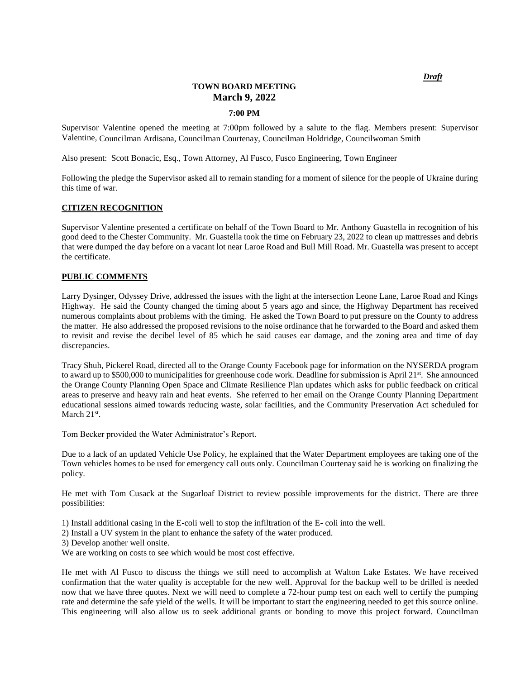*Draft*

# **TOWN BOARD MEETING March 9, 2022**

# **7:00 PM**

Supervisor Valentine opened the meeting at 7:00pm followed by a salute to the flag. Members present: Supervisor Valentine, Councilman Ardisana, Councilman Courtenay, Councilman Holdridge, Councilwoman Smith

Also present: Scott Bonacic, Esq., Town Attorney, Al Fusco, Fusco Engineering, Town Engineer

Following the pledge the Supervisor asked all to remain standing for a moment of silence for the people of Ukraine during this time of war.

### **CITIZEN RECOGNITION**

Supervisor Valentine presented a certificate on behalf of the Town Board to Mr. Anthony Guastella in recognition of his good deed to the Chester Community. Mr. Guastella took the time on February 23, 2022 to clean up mattresses and debris that were dumped the day before on a vacant lot near Laroe Road and Bull Mill Road. Mr. Guastella was present to accept the certificate.

#### **PUBLIC COMMENTS**

Larry Dysinger, Odyssey Drive, addressed the issues with the light at the intersection Leone Lane, Laroe Road and Kings Highway. He said the County changed the timing about 5 years ago and since, the Highway Department has received numerous complaints about problems with the timing. He asked the Town Board to put pressure on the County to address the matter. He also addressed the proposed revisions to the noise ordinance that he forwarded to the Board and asked them to revisit and revise the decibel level of 85 which he said causes ear damage, and the zoning area and time of day discrepancies.

Tracy Shuh, Pickerel Road, directed all to the Orange County Facebook page for information on the NYSERDA program to award up to \$500,000 to municipalities for greenhouse code work. Deadline for submission is April  $21^{st}$ . She announced the Orange County Planning Open Space and Climate Resilience Plan updates which asks for public feedback on critical areas to preserve and heavy rain and heat events. She referred to her email on the Orange County Planning Department educational sessions aimed towards reducing waste, solar facilities, and the Community Preservation Act scheduled for March  $21<sup>st</sup>$ .

Tom Becker provided the Water Administrator's Report.

Due to a lack of an updated Vehicle Use Policy, he explained that the Water Department employees are taking one of the Town vehicles homes to be used for emergency call outs only. Councilman Courtenay said he is working on finalizing the policy.

He met with Tom Cusack at the Sugarloaf District to review possible improvements for the district. There are three possibilities:

1) Install additional casing in the E-coli well to stop the infiltration of the E- coli into the well.

- 2) Install a UV system in the plant to enhance the safety of the water produced.
- 3) Develop another well onsite.

We are working on costs to see which would be most cost effective.

He met with Al Fusco to discuss the things we still need to accomplish at Walton Lake Estates. We have received confirmation that the water quality is acceptable for the new well. Approval for the backup well to be drilled is needed now that we have three quotes. Next we will need to complete a 72-hour pump test on each well to certify the pumping rate and determine the safe yield of the wells. It will be important to start the engineering needed to get this source online. This engineering will also allow us to seek additional grants or bonding to move this project forward. Councilman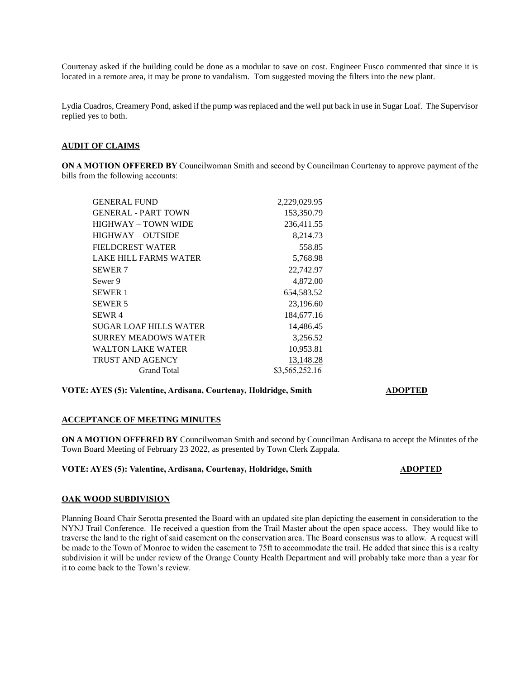Courtenay asked if the building could be done as a modular to save on cost. Engineer Fusco commented that since it is located in a remote area, it may be prone to vandalism. Tom suggested moving the filters into the new plant.

Lydia Cuadros, Creamery Pond, asked if the pump was replaced and the well put back in use in Sugar Loaf. The Supervisor replied yes to both.

# **AUDIT OF CLAIMS**

**ON A MOTION OFFERED BY** Councilwoman Smith and second by Councilman Courtenay to approve payment of the bills from the following accounts:

| <b>GENERAL FUND</b>         | 2,229,029.95   |
|-----------------------------|----------------|
| <b>GENERAL - PART TOWN</b>  | 153,350.79     |
| HIGHWAY – TOWN WIDE         | 236,411.55     |
| HIGHWAY – OUTSIDE           | 8,214.73       |
| FIELDCREST WATER            | 558.85         |
| LAKE HILL FARMS WATER       | 5,768.98       |
| <b>SEWER 7</b>              | 22,742.97      |
| Sewer 9                     | 4,872.00       |
| <b>SEWER 1</b>              | 654,583.52     |
| <b>SEWER 5</b>              | 23,196.60      |
| SEWR <sub>4</sub>           | 184,677.16     |
| SUGAR LOAF HILLS WATER      | 14,486.45      |
| <b>SURREY MEADOWS WATER</b> | 3,256.52       |
| <b>WALTON LAKE WATER</b>    | 10,953.81      |
| <b>TRUST AND AGENCY</b>     | 13,148.28      |
| Grand Total                 | \$3,565,252.16 |

# **VOTE: AYES (5): Valentine, Ardisana, Courtenay, Holdridge, Smith ADOPTED**

# **ACCEPTANCE OF MEETING MINUTES**

**ON A MOTION OFFERED BY** Councilwoman Smith and second by Councilman Ardisana to accept the Minutes of the Town Board Meeting of February 23 2022, as presented by Town Clerk Zappala.

### **VOTE: AYES (5): Valentine, Ardisana, Courtenay, Holdridge, Smith ADOPTED**

# **OAK WOOD SUBDIVISION**

Planning Board Chair Serotta presented the Board with an updated site plan depicting the easement in consideration to the NYNJ Trail Conference. He received a question from the Trail Master about the open space access. They would like to traverse the land to the right of said easement on the conservation area. The Board consensus was to allow. A request will be made to the Town of Monroe to widen the easement to 75ft to accommodate the trail. He added that since this is a realty subdivision it will be under review of the Orange County Health Department and will probably take more than a year for it to come back to the Town's review.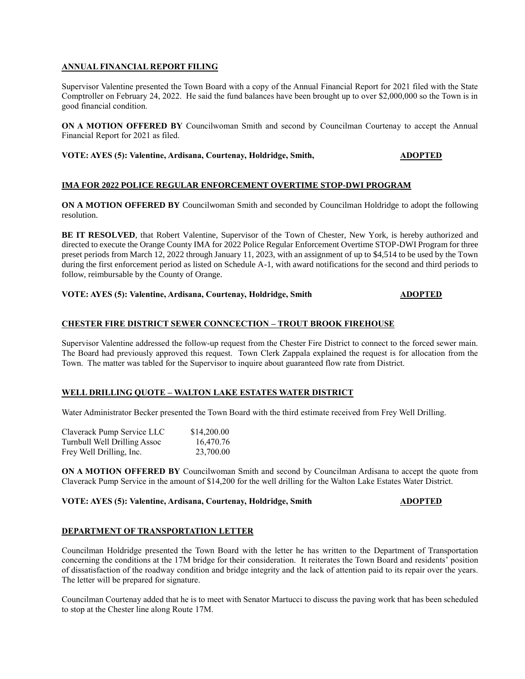# **ANNUAL FINANCIAL REPORT FILING**

Supervisor Valentine presented the Town Board with a copy of the Annual Financial Report for 2021 filed with the State Comptroller on February 24, 2022. He said the fund balances have been brought up to over \$2,000,000 so the Town is in good financial condition.

**ON A MOTION OFFERED BY** Councilwoman Smith and second by Councilman Courtenay to accept the Annual Financial Report for 2021 as filed.

**VOTE: AYES (5): Valentine, Ardisana, Courtenay, Holdridge, Smith, ADOPTED** 

# **IMA FOR 2022 POLICE REGULAR ENFORCEMENT OVERTIME STOP-DWI PROGRAM**

**ON A MOTION OFFERED BY** Councilwoman Smith and seconded by Councilman Holdridge to adopt the following resolution.

**BE IT RESOLVED**, that Robert Valentine, Supervisor of the Town of Chester, New York, is hereby authorized and directed to execute the Orange County IMA for 2022 Police Regular Enforcement Overtime STOP-DWI Program for three preset periods from March 12, 2022 through January 11, 2023, with an assignment of up to \$4,514 to be used by the Town during the first enforcement period as listed on Schedule A-1, with award notifications for the second and third periods to follow, reimbursable by the County of Orange.

# **VOTE: AYES (5): Valentine, Ardisana, Courtenay, Holdridge, Smith ADOPTED**

# **CHESTER FIRE DISTRICT SEWER CONNCECTION – TROUT BROOK FIREHOUSE**

Supervisor Valentine addressed the follow-up request from the Chester Fire District to connect to the forced sewer main. The Board had previously approved this request. Town Clerk Zappala explained the request is for allocation from the Town. The matter was tabled for the Supervisor to inquire about guaranteed flow rate from District.

### **WELL DRILLING QUOTE – WALTON LAKE ESTATES WATER DISTRICT**

Water Administrator Becker presented the Town Board with the third estimate received from Frey Well Drilling.

| Claverack Pump Service LLC   | \$14,200.00 |
|------------------------------|-------------|
| Turnbull Well Drilling Assoc | 16,470.76   |
| Frey Well Drilling, Inc.     | 23,700.00   |

**ON A MOTION OFFERED BY** Councilwoman Smith and second by Councilman Ardisana to accept the quote from Claverack Pump Service in the amount of \$14,200 for the well drilling for the Walton Lake Estates Water District.

## **VOTE: AYES (5): Valentine, Ardisana, Courtenay, Holdridge, Smith ADOPTED**

# **DEPARTMENT OF TRANSPORTATION LETTER**

Councilman Holdridge presented the Town Board with the letter he has written to the Department of Transportation concerning the conditions at the 17M bridge for their consideration. It reiterates the Town Board and residents' position of dissatisfaction of the roadway condition and bridge integrity and the lack of attention paid to its repair over the years. The letter will be prepared for signature.

Councilman Courtenay added that he is to meet with Senator Martucci to discuss the paving work that has been scheduled to stop at the Chester line along Route 17M.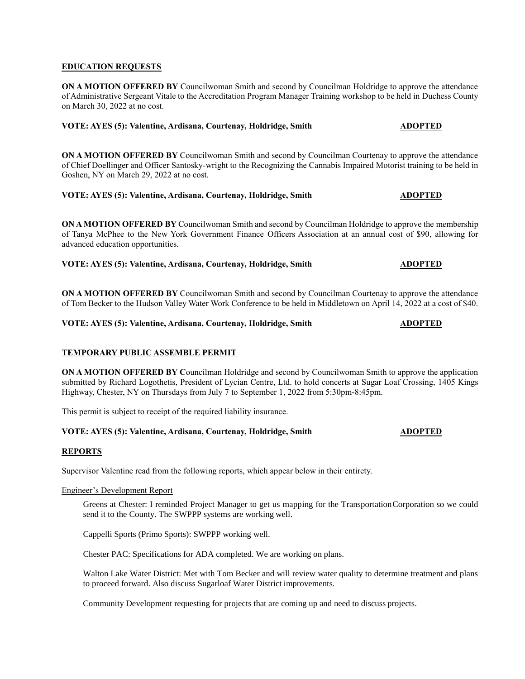### **EDUCATION REQUESTS**

**ON A MOTION OFFERED BY** Councilwoman Smith and second by Councilman Holdridge to approve the attendance of Administrative Sergeant Vitale to the Accreditation Program Manager Training workshop to be held in Duchess County on March 30, 2022 at no cost.

### **VOTE: AYES (5): Valentine, Ardisana, Courtenay, Holdridge, Smith ADOPTED**

**ON A MOTION OFFERED BY** Councilwoman Smith and second by Councilman Courtenay to approve the attendance of Chief Doellinger and Officer Santosky-wright to the Recognizing the Cannabis Impaired Motorist training to be held in Goshen, NY on March 29, 2022 at no cost.

# **VOTE: AYES (5): Valentine, Ardisana, Courtenay, Holdridge, Smith ADOPTED**

**ON A MOTION OFFERED BY** Councilwoman Smith and second by Councilman Holdridge to approve the membership of Tanya McPhee to the New York Government Finance Officers Association at an annual cost of \$90, allowing for advanced education opportunities.

**VOTE: AYES (5): Valentine, Ardisana, Courtenay, Holdridge, Smith ADOPTED** 

**ON A MOTION OFFERED BY** Councilwoman Smith and second by Councilman Courtenay to approve the attendance of Tom Becker to the Hudson Valley Water Work Conference to be held in Middletown on April 14, 2022 at a cost of \$40.

**VOTE: AYES (5): Valentine, Ardisana, Courtenay, Holdridge, Smith ADOPTED**

# **TEMPORARY PUBLIC ASSEMBLE PERMIT**

**ON A MOTION OFFERED BY C**ouncilman Holdridge and second by Councilwoman Smith to approve the application submitted by Richard Logothetis, President of Lycian Centre, Ltd. to hold concerts at Sugar Loaf Crossing, 1405 Kings Highway, Chester, NY on Thursdays from July 7 to September 1, 2022 from 5:30pm-8:45pm.

This permit is subject to receipt of the required liability insurance.

# **VOTE: AYES (5): Valentine, Ardisana, Courtenay, Holdridge, Smith ADOPTED**

### **REPORTS**

Supervisor Valentine read from the following reports, which appear below in their entirety.

### Engineer's Development Report

Greens at Chester: I reminded Project Manager to get us mapping for the TransportationCorporation so we could send it to the County. The SWPPP systems are working well.

Cappelli Sports (Primo Sports): SWPPP working well.

Chester PAC: Specifications for ADA completed. We are working on plans.

Walton Lake Water District: Met with Tom Becker and will review water quality to determine treatment and plans to proceed forward. Also discuss Sugarloaf Water District improvements.

Community Development requesting for projects that are coming up and need to discuss projects.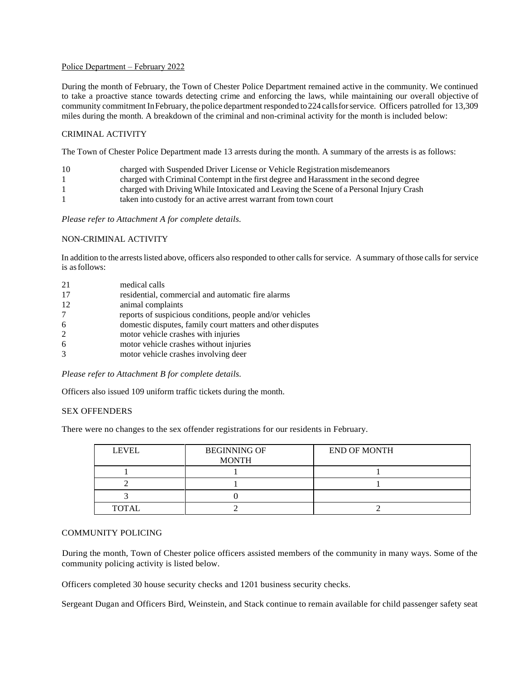### Police Department – February 2022

During the month of February, the Town of Chester Police Department remained active in the community. We continued to take a proactive stance towards detecting crime and enforcing the laws, while maintaining our overall objective of community commitment InFebruary, the police department responded to224 callsforservice. Officers patrolled for 13,309 miles during the month. A breakdown of the criminal and non-criminal activity for the month is included below:

# CRIMINAL ACTIVITY

The Town of Chester Police Department made 13 arrests during the month. A summary of the arrests is as follows:

| -10          | charged with Suspended Driver License or Vehicle Registration misdemeanors              |
|--------------|-----------------------------------------------------------------------------------------|
| $\mathbf{I}$ | charged with Criminal Contempt in the first degree and Harassment in the second degree  |
|              | charged with Driving While Intoxicated and Leaving the Scene of a Personal Injury Crash |
|              | taken into custody for an active arrest warrant from town court                         |

*Please refer to Attachment A for complete details.*

### NON-CRIMINAL ACTIVITY

In addition to the arrests listed above, officers also responded to other calls for service. A summary of those calls for service is asfollows:

| 21 | medical calls                                              |
|----|------------------------------------------------------------|
| 17 | residential, commercial and automatic fire alarms          |
| 12 | animal complaints                                          |
| 7  | reports of suspicious conditions, people and/or vehicles   |
| 6  | domestic disputes, family court matters and other disputes |
| 2  | motor vehicle crashes with injuries                        |
| 6  | motor vehicle crashes without injuries                     |
| 3  | motor vehicle crashes involving deer                       |

*Please refer to Attachment B for complete details.*

Officers also issued 109 uniform traffic tickets during the month.

### SEX OFFENDERS

There were no changes to the sex offender registrations for our residents in February.

| <b>LEVEL</b> | <b>BEGINNING OF</b><br><b>MONTH</b> | <b>END OF MONTH</b> |
|--------------|-------------------------------------|---------------------|
|              |                                     |                     |
|              |                                     |                     |
|              |                                     |                     |
| <b>TOTAL</b> |                                     |                     |

## COMMUNITY POLICING

During the month, Town of Chester police officers assisted members of the community in many ways. Some of the community policing activity is listed below.

Officers completed 30 house security checks and 1201 business security checks.

Sergeant Dugan and Officers Bird, Weinstein, and Stack continue to remain available for child passenger safety seat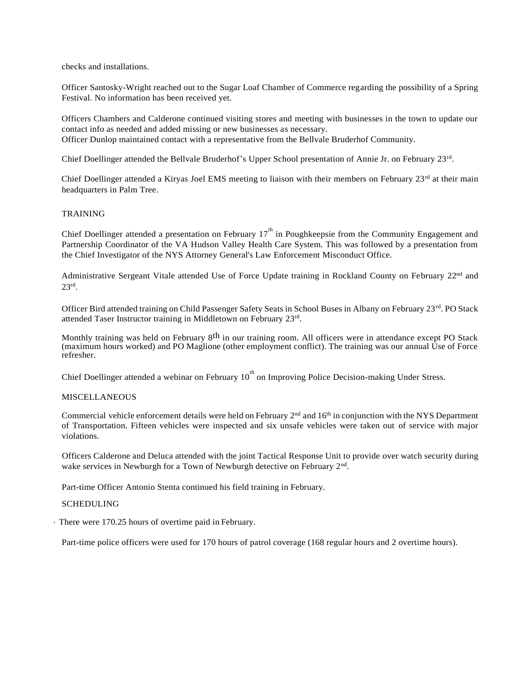checks and installations.

Officer Santosky-Wright reached out to the Sugar Loaf Chamber of Commerce regarding the possibility of a Spring Festival. No information has been received yet.

Officers Chambers and Calderone continued visiting stores and meeting with businesses in the town to update our contact info as needed and added missing or new businesses as necessary. Officer Dunlop maintained contact with a representative from the Bellvale Bruderhof Community.

Chief Doellinger attended the Bellvale Bruderhof's Upper School presentation of Annie Jr. on February 23rd.

Chief Doellinger attended a Kiryas Joel EMS meeting to liaison with their members on February 23<sup>rd</sup> at their main headquarters in Palm Tree.

# TRAINING

Chief Doellinger attended a presentation on February 17<sup>th</sup> in Poughkeepsie from the Community Engagement and Partnership Coordinator of the VA Hudson Valley Health Care System. This was followed by a presentation from the Chief Investigator of the NYS Attorney General's Law Enforcement Misconduct Office.

Administrative Sergeant Vitale attended Use of Force Update training in Rockland County on February 22nd and 23rd .

Officer Bird attended training on Child Passenger Safety Seats in School Buses in Albany on February 23rd. PO Stack attended Taser Instructor training in Middletown on February 23rd.

Monthly training was held on February 8th in our training room. All officers were in attendance except PO Stack (maximum hours worked) and PO Maglione (other employment conflict). The training was our annual Use of Force refresher.

Chief Doellinger attended a webinar on February 10<sup>th</sup> on Improving Police Decision-making Under Stress.

# **MISCELLANEOUS**

Commercial vehicle enforcement details were held on February  $2<sup>nd</sup>$  and  $16<sup>th</sup>$  in conjunction with the NYS Department of Transportation. Fifteen vehicles were inspected and six unsafe vehicles were taken out of service with major violations.

Officers Calderone and Deluca attended with the joint Tactical Response Unit to provide over watch security during wake services in Newburgh for a Town of Newburgh detective on February 2<sup>nd</sup>.

Part-time Officer Antonio Stenta continued his field training in February.

### SCHEDULING

· There were 170.25 hours of overtime paid in February.

Part-time police officers were used for 170 hours of patrol coverage (168 regular hours and 2 overtime hours).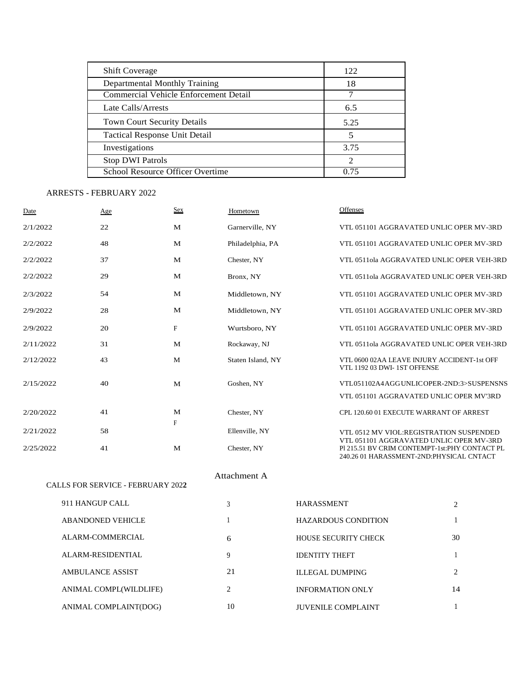| <b>Shift Coverage</b>                 | 122  |
|---------------------------------------|------|
| Departmental Monthly Training         | 18   |
| Commercial Vehicle Enforcement Detail |      |
| Late Calls/Arrests                    | 6.5  |
| Town Court Security Details           | 5.25 |
| Tactical Response Unit Detail         | 5    |
| Investigations                        | 3.75 |
| <b>Stop DWI Patrols</b>               | 2    |
| School Resource Officer Overtime      | 0.75 |

# ARRESTS - FEBRUARY 2022

| <b>Date</b> | Age                               | <b>Sex</b>                | Hometown          | Offenses                                                                                  |  |
|-------------|-----------------------------------|---------------------------|-------------------|-------------------------------------------------------------------------------------------|--|
| 2/1/2022    | 22                                | M                         | Garnerville, NY   | VTL 051101 AGGRAVATED UNLIC OPER MV-3RD                                                   |  |
| 2/2/2022    | 48                                | M                         | Philadelphia, PA  | VTL 051101 AGGRAVATED UNLIC OPER MV-3RD                                                   |  |
| 2/2/2022    | 37                                | M                         | Chester, NY       | VTL 0511ola AGGRAVATED UNLIC OPER VEH-3RD                                                 |  |
| 2/2/2022    | 29                                | M                         | Bronx, NY         | VTL 0511ola AGGRAVATED UNLIC OPER VEH-3RD                                                 |  |
| 2/3/2022    | 54                                | M                         | Middletown, NY    | VTL 051101 AGGRAVATED UNLIC OPER MV-3RD                                                   |  |
| 2/9/2022    | 28                                | M                         | Middletown, NY    | VTL 051101 AGGRAVATED UNLIC OPER MV-3RD                                                   |  |
| 2/9/2022    | 20                                | $\boldsymbol{\mathrm{F}}$ | Wurtsboro, NY     | VTL 051101 AGGRAVATED UNLIC OPER MV-3RD                                                   |  |
| 2/11/2022   | 31                                | M                         | Rockaway, NJ      | VTL 0511ola AGGRAVATED UNLIC OPER VEH-3RD                                                 |  |
| 2/12/2022   | 43                                | M                         | Staten Island, NY | VTL 0600 02AA LEAVE INJURY ACCIDENT-1st OFF<br>VTL 1192 03 DWI-1ST OFFENSE                |  |
| 2/15/2022   | 40                                | M                         | Goshen, NY        | VTL051102A4AGGUNLICOPER-2ND:3>SUSPENSNS                                                   |  |
|             |                                   |                           |                   | VTL 051101 AGGRAVATED UNLIC OPER MV'3RD                                                   |  |
| 2/20/2022   | 41                                | M                         | Chester, NY       | CPL 120.60 01 EXECUTE WARRANT OF ARREST                                                   |  |
| 2/21/2022   | 58                                | $\mathbf F$               | Ellenville, NY    | VTL 0512 MV VIOL:REGISTRATION SUSPENDED<br>VTL 051101 AGGRAVATED UNLIC OPER MV-3RD        |  |
| 2/25/2022   | 41                                | M                         | Chester, NY       | PI 215.51 BV CRIM CONTEMPT-1st:PHY CONTACT PL<br>240.26 01 HARASSMENT-2ND:PHYSICAL CNTACT |  |
|             |                                   |                           | Attachment A      |                                                                                           |  |
|             | CALLS FOR SERVICE - FEBRUARY 2022 |                           |                   |                                                                                           |  |

| 911 HANGUP CALL          | 3  | <b>HARASSMENT</b>           | 2  |
|--------------------------|----|-----------------------------|----|
| <b>ABANDONED VEHICLE</b> |    | <b>HAZARDOUS CONDITION</b>  |    |
| ALARM-COMMERCIAL         | 6  | <b>HOUSE SECURITY CHECK</b> | 30 |
| ALARM-RESIDENTIAL        | 9  | <b>IDENTITY THEFT</b>       |    |
| <b>AMBULANCE ASSIST</b>  | 21 | <b>ILLEGAL DUMPING</b>      | 2  |
| ANIMAL COMPL(WILDLIFE)   | 2  | <b>INFORMATION ONLY</b>     | 14 |
| ANIMAL COMPLAINT(DOG)    | 10 | <b>JUVENILE COMPLAINT</b>   |    |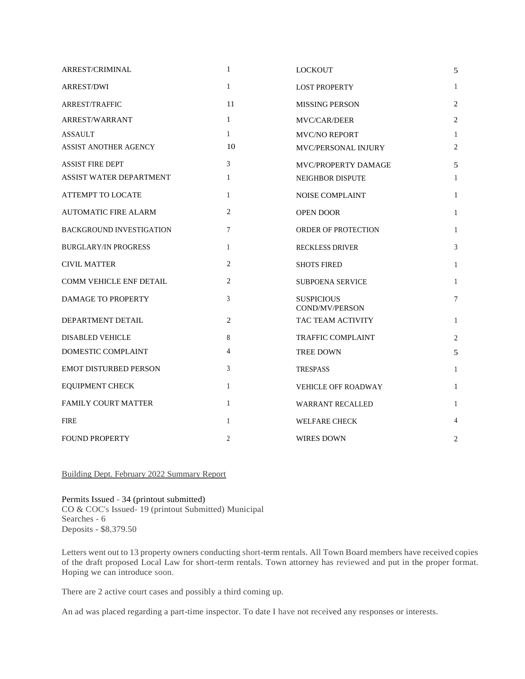| ARREST/CRIMINAL                 | $\mathbf{1}$    | <b>LOCKOUT</b>                      | 5              |
|---------------------------------|-----------------|-------------------------------------|----------------|
| <b>ARREST/DWI</b>               | $\mathbf{1}$    | <b>LOST PROPERTY</b>                | 1              |
| <b>ARREST/TRAFFIC</b>           | 11              | <b>MISSING PERSON</b>               | $\overline{2}$ |
| <b>ARREST/WARRANT</b>           | $\mathbf{1}$    | <b>MVC/CAR/DEER</b>                 | 2              |
| <b>ASSAULT</b>                  | $\mathbf{1}$    | <b>MVC/NO REPORT</b>                | 1              |
| <b>ASSIST ANOTHER AGENCY</b>    | 10              | <b>MVC/PERSONAL INJURY</b>          | 2              |
| <b>ASSIST FIRE DEPT</b>         | $\mathfrak{Z}$  | MVC/PROPERTY DAMAGE                 | 5              |
| <b>ASSIST WATER DEPARTMENT</b>  | $\mathbf{1}$    | NEIGHBOR DISPUTE                    | 1              |
| ATTEMPT TO LOCATE               | $\mathbf{1}$    | <b>NOISE COMPLAINT</b>              | $\mathbf{1}$   |
| <b>AUTOMATIC FIRE ALARM</b>     | $\mathfrak{2}$  | <b>OPEN DOOR</b>                    | $\mathbf{1}$   |
| <b>BACKGROUND INVESTIGATION</b> | $7\phantom{.0}$ | ORDER OF PROTECTION                 | 1              |
| <b>BURGLARY/IN PROGRESS</b>     | $\mathbf{1}$    | <b>RECKLESS DRIVER</b>              | 3              |
| <b>CIVIL MATTER</b>             | $\overline{2}$  | <b>SHOTS FIRED</b>                  | $\mathbf{1}$   |
| <b>COMM VEHICLE ENF DETAIL</b>  | $\overline{2}$  | <b>SUBPOENA SERVICE</b>             | $\mathbf{1}$   |
| DAMAGE TO PROPERTY              | 3               | <b>SUSPICIOUS</b><br>COND/MV/PERSON | $\overline{7}$ |
| DEPARTMENT DETAIL               | $\overline{2}$  | TAC TEAM ACTIVITY                   | 1              |
| <b>DISABLED VEHICLE</b>         | 8               | <b>TRAFFIC COMPLAINT</b>            | 2              |
| DOMESTIC COMPLAINT              | $\overline{4}$  | <b>TREE DOWN</b>                    | 5              |
| <b>EMOT DISTURBED PERSON</b>    | 3               | <b>TRESPASS</b>                     | $\mathbf{1}$   |
| <b>EQUIPMENT CHECK</b>          | $\mathbf{1}$    | VEHICLE OFF ROADWAY                 | $\mathbf{1}$   |
| <b>FAMILY COURT MATTER</b>      | $\mathbf{1}$    | <b>WARRANT RECALLED</b>             | $\mathbf{1}$   |
| <b>FIRE</b>                     | $\mathbf{1}$    | <b>WELFARE CHECK</b>                | 4              |
| <b>FOUND PROPERTY</b>           | $\overline{2}$  | <b>WIRES DOWN</b>                   | 2              |

Building Dept. February 2022 Summary Report

Permits Issued - 34 (printout submitted) CO & COC's Issued- 19 (printout Submitted) Municipal Searches - 6 Deposits - \$8,379.50

Letters went out to 13 property owners conducting short-term rentals. All Town Board members have received copies of the draft proposed Local Law for short-term rentals. Town attorney has reviewed and put in the proper format. Hoping we can introduce soon.

There are 2 active court cases and possibly a third coming up.

An ad was placed regarding a part-time inspector. To date I have not received any responses or interests.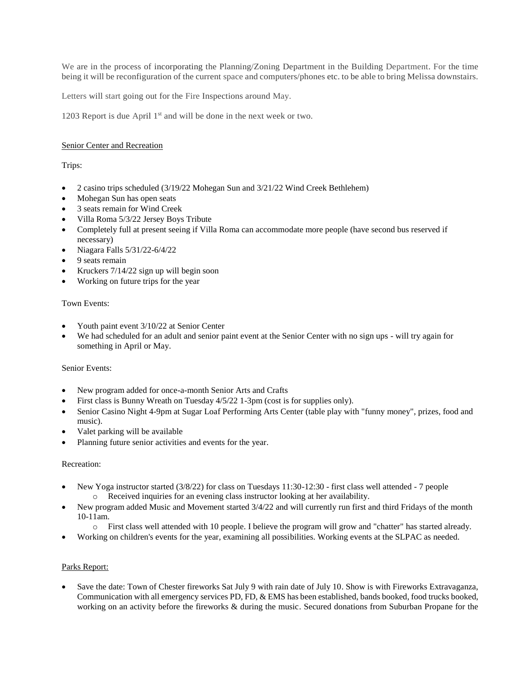We are in the process of incorporating the Planning/Zoning Department in the Building Department. For the time being it will be reconfiguration of the current space and computers/phones etc. to be able to bring Melissa downstairs.

Letters will start going out for the Fire Inspections around May.

1203 Report is due April 1<sup>st</sup> and will be done in the next week or two.

# Senior Center and Recreation

Trips:

- 2 casino trips scheduled (3/19/22 Mohegan Sun and 3/21/22 Wind Creek Bethlehem)
- Mohegan Sun has open seats
- 3 seats remain for Wind Creek
- Villa Roma 5/3/22 Jersey Boys Tribute
- Completely full at present seeing if Villa Roma can accommodate more people (have second bus reserved if necessary)
- $\bullet$  Niagara Falls 5/31/22-6/4/22
- 9 seats remain
- Kruckers 7/14/22 sign up will begin soon
- Working on future trips for the year

### Town Events:

- Youth paint event 3/10/22 at Senior Center
- We had scheduled for an adult and senior paint event at the Senior Center with no sign ups will try again for something in April or May.

### Senior Events:

- New program added for once-a-month Senior Arts and Crafts
- First class is Bunny Wreath on Tuesday 4/5/22 1-3pm (cost is for supplies only).
- Senior Casino Night 4-9pm at Sugar Loaf Performing Arts Center (table play with "funny money", prizes, food and music).
- Valet parking will be available
- Planning future senior activities and events for the year.

### Recreation:

- New Yoga instructor started (3/8/22) for class on Tuesdays 11:30-12:30 first class well attended 7 people o Received inquiries for an evening class instructor looking at her availability.
- New program added Music and Movement started 3/4/22 and will currently run first and third Fridays of the month 10-11am.
	- o First class well attended with 10 people. I believe the program will grow and "chatter" has started already.
- Working on children's events for the year, examining all possibilities. Working events at the SLPAC as needed.

# Parks Report:

 Save the date: Town of Chester fireworks Sat July 9 with rain date of July 10. Show is with Fireworks Extravaganza, Communication with all emergency services PD, FD, & EMS has been established, bands booked, food trucks booked, working on an activity before the fireworks & during the music. Secured donations from Suburban Propane for the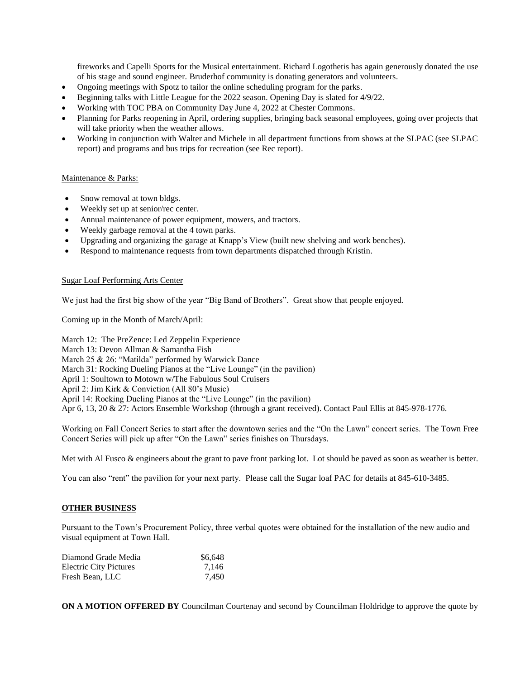fireworks and Capelli Sports for the Musical entertainment. Richard Logothetis has again generously donated the use of his stage and sound engineer. Bruderhof community is donating generators and volunteers.

- Ongoing meetings with Spotz to tailor the online scheduling program for the parks.
- Beginning talks with Little League for the 2022 season. Opening Day is slated for 4/9/22.
- Working with TOC PBA on Community Day June 4, 2022 at Chester Commons.
- Planning for Parks reopening in April, ordering supplies, bringing back seasonal employees, going over projects that will take priority when the weather allows.
- Working in conjunction with Walter and Michele in all department functions from shows at the SLPAC (see SLPAC report) and programs and bus trips for recreation (see Rec report).

# Maintenance & Parks:

- Snow removal at town bldgs.
- Weekly set up at senior/rec center.
- Annual maintenance of power equipment, mowers, and tractors.
- Weekly garbage removal at the 4 town parks.
- Upgrading and organizing the garage at Knapp's View (built new shelving and work benches).
- Respond to maintenance requests from town departments dispatched through Kristin.

### Sugar Loaf Performing Arts Center

We just had the first big show of the year "Big Band of Brothers". Great show that people enjoyed.

Coming up in the Month of March/April:

March 12: The PreZence: Led Zeppelin Experience March 13: Devon Allman & Samantha Fish March 25 & 26: "Matilda" performed by Warwick Dance March 31: Rocking Dueling Pianos at the "Live Lounge" (in the pavilion) April 1: Soultown to Motown w/The Fabulous Soul Cruisers April 2: Jim Kirk & Conviction (All 80's Music) April 14: Rocking Dueling Pianos at the "Live Lounge" (in the pavilion) Apr 6, 13, 20 & 27: Actors Ensemble Workshop (through a grant received). Contact Paul Ellis at 845-978-1776.

Working on Fall Concert Series to start after the downtown series and the "On the Lawn" concert series. The Town Free Concert Series will pick up after "On the Lawn" series finishes on Thursdays.

Met with Al Fusco & engineers about the grant to pave front parking lot. Lot should be paved as soon as weather is better.

You can also "rent" the pavilion for your next party. Please call the Sugar loaf PAC for details at 845-610-3485.

### **OTHER BUSINESS**

Pursuant to the Town's Procurement Policy, three verbal quotes were obtained for the installation of the new audio and visual equipment at Town Hall.

| Diamond Grade Media           | \$6,648 |
|-------------------------------|---------|
| <b>Electric City Pictures</b> | 7,146   |
| Fresh Bean, LLC               | 7,450   |

**ON A MOTION OFFERED BY** Councilman Courtenay and second by Councilman Holdridge to approve the quote by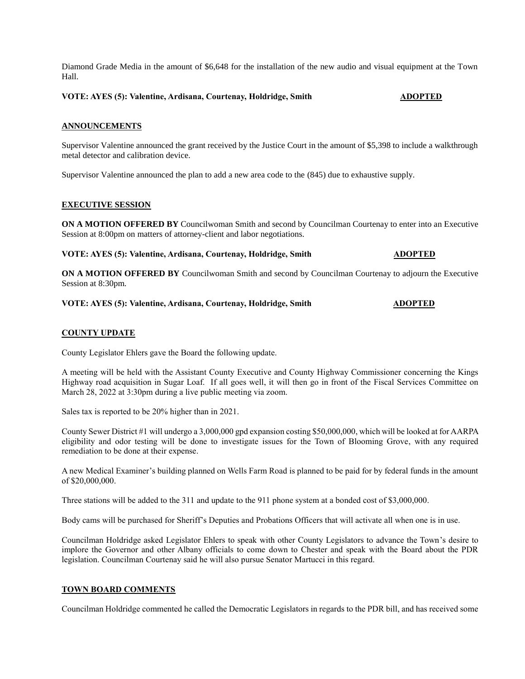Diamond Grade Media in the amount of \$6,648 for the installation of the new audio and visual equipment at the Town Hall.

**VOTE: AYES (5): Valentine, Ardisana, Courtenay, Holdridge, Smith ADOPTED** 

#### **ANNOUNCEMENTS**

Supervisor Valentine announced the grant received by the Justice Court in the amount of \$5,398 to include a walkthrough metal detector and calibration device.

Supervisor Valentine announced the plan to add a new area code to the (845) due to exhaustive supply.

### **EXECUTIVE SESSION**

**ON A MOTION OFFERED BY** Councilwoman Smith and second by Councilman Courtenay to enter into an Executive Session at 8:00pm on matters of attorney-client and labor negotiations.

**VOTE: AYES (5): Valentine, Ardisana, Courtenay, Holdridge, Smith ADOPTED** 

**ON A MOTION OFFERED BY** Councilwoman Smith and second by Councilman Courtenay to adjourn the Executive Session at 8:30pm.

#### **VOTE: AYES (5): Valentine, Ardisana, Courtenay, Holdridge, Smith ADOPTED**

# **COUNTY UPDATE**

County Legislator Ehlers gave the Board the following update.

A meeting will be held with the Assistant County Executive and County Highway Commissioner concerning the Kings Highway road acquisition in Sugar Loaf. If all goes well, it will then go in front of the Fiscal Services Committee on March 28, 2022 at 3:30pm during a live public meeting via zoom.

Sales tax is reported to be 20% higher than in 2021.

County Sewer District #1 will undergo a 3,000,000 gpd expansion costing \$50,000,000, which will be looked at for AARPA eligibility and odor testing will be done to investigate issues for the Town of Blooming Grove, with any required remediation to be done at their expense.

A new Medical Examiner's building planned on Wells Farm Road is planned to be paid for by federal funds in the amount of \$20,000,000.

Three stations will be added to the 311 and update to the 911 phone system at a bonded cost of \$3,000,000.

Body cams will be purchased for Sheriff's Deputies and Probations Officers that will activate all when one is in use.

Councilman Holdridge asked Legislator Ehlers to speak with other County Legislators to advance the Town's desire to implore the Governor and other Albany officials to come down to Chester and speak with the Board about the PDR legislation. Councilman Courtenay said he will also pursue Senator Martucci in this regard.

# **TOWN BOARD COMMENTS**

Councilman Holdridge commented he called the Democratic Legislators in regards to the PDR bill, and has received some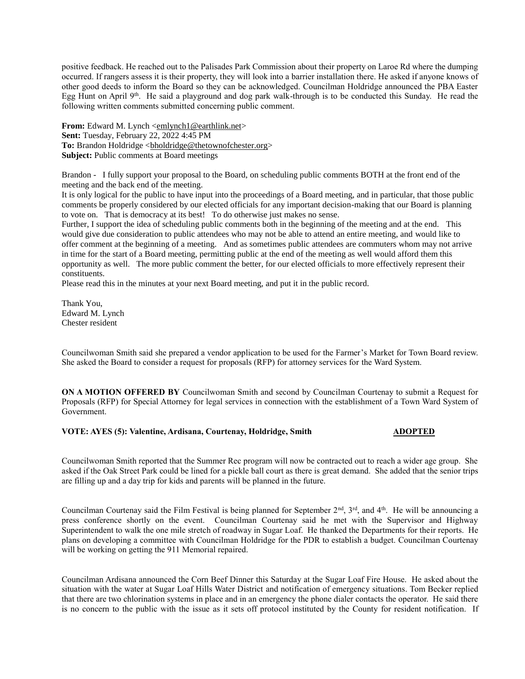positive feedback. He reached out to the Palisades Park Commission about their property on Laroe Rd where the dumping occurred. If rangers assess it is their property, they will look into a barrier installation there. He asked if anyone knows of other good deeds to inform the Board so they can be acknowledged. Councilman Holdridge announced the PBA Easter Egg Hunt on April 9th. He said a playground and dog park walk-through is to be conducted this Sunday. He read the following written comments submitted concerning public comment.

**From:** Edward M. Lynch [<emlynch1@earthlink.net>](mailto:emlynch1@earthlink.net) **Sent:** Tuesday, February 22, 2022 4:45 PM To: Brandon Holdridge <br/>bholdridge@thetownofchester.org> **Subject:** Public comments at Board meetings

Brandon - I fully support your proposal to the Board, on scheduling public comments BOTH at the front end of the meeting and the back end of the meeting.

It is only logical for the public to have input into the proceedings of a Board meeting, and in particular, that those public comments be properly considered by our elected officials for any important decision-making that our Board is planning to vote on. That is democracy at its best! To do otherwise just makes no sense.

Further, I support the idea of scheduling public comments both in the beginning of the meeting and at the end. This would give due consideration to public attendees who may not be able to attend an entire meeting, and would like to offer comment at the beginning of a meeting. And as sometimes public attendees are commuters whom may not arrive in time for the start of a Board meeting, permitting public at the end of the meeting as well would afford them this opportunity as well. The more public comment the better, for our elected officials to more effectively represent their constituents.

Please read this in the minutes at your next Board meeting, and put it in the public record.

Thank You, Edward M. Lynch Chester resident

Councilwoman Smith said she prepared a vendor application to be used for the Farmer's Market for Town Board review. She asked the Board to consider a request for proposals (RFP) for attorney services for the Ward System.

**ON A MOTION OFFERED BY** Councilwoman Smith and second by Councilman Courtenay to submit a Request for Proposals (RFP) for Special Attorney for legal services in connection with the establishment of a Town Ward System of Government.

#### **VOTE: AYES (5): Valentine, Ardisana, Courtenay, Holdridge, Smith ADOPTED**

Councilwoman Smith reported that the Summer Rec program will now be contracted out to reach a wider age group. She asked if the Oak Street Park could be lined for a pickle ball court as there is great demand. She added that the senior trips are filling up and a day trip for kids and parents will be planned in the future.

Councilman Courtenay said the Film Festival is being planned for September 2<sup>nd</sup>, 3<sup>rd</sup>, and 4<sup>th</sup>. He will be announcing a press conference shortly on the event. Councilman Courtenay said he met with the Supervisor and Highway Superintendent to walk the one mile stretch of roadway in Sugar Loaf. He thanked the Departments for their reports. He plans on developing a committee with Councilman Holdridge for the PDR to establish a budget. Councilman Courtenay will be working on getting the 911 Memorial repaired.

Councilman Ardisana announced the Corn Beef Dinner this Saturday at the Sugar Loaf Fire House. He asked about the situation with the water at Sugar Loaf Hills Water District and notification of emergency situations. Tom Becker replied that there are two chlorination systems in place and in an emergency the phone dialer contacts the operator. He said there is no concern to the public with the issue as it sets off protocol instituted by the County for resident notification. If